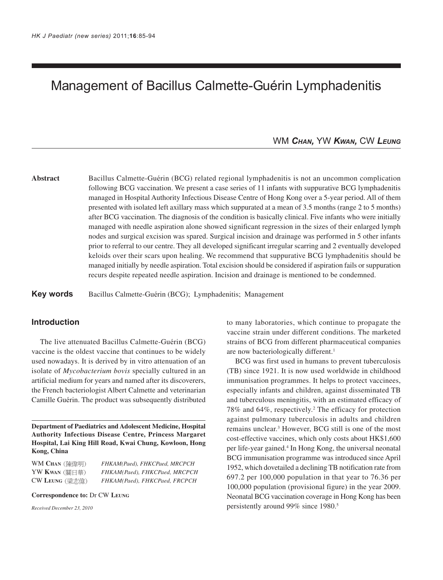# Management of Bacillus Calmette-Guérin Lymphadenitis

# WM *CHAN,* YW *KWAN,* CW *LEUNG*

**Abstract** Bacillus Calmette-Guérin (BCG) related regional lymphadenitis is not an uncommon complication following BCG vaccination. We present a case series of 11 infants with suppurative BCG lymphadenitis managed in Hospital Authority Infectious Disease Centre of Hong Kong over a 5-year period. All of them presented with isolated left axillary mass which suppurated at a mean of 3.5 months (range 2 to 5 months) after BCG vaccination. The diagnosis of the condition is basically clinical. Five infants who were initially managed with needle aspiration alone showed significant regression in the sizes of their enlarged lymph nodes and surgical excision was spared. Surgical incision and drainage was performed in 5 other infants prior to referral to our centre. They all developed significant irregular scarring and 2 eventually developed keloids over their scars upon healing. We recommend that suppurative BCG lymphadenitis should be managed initially by needle aspiration. Total excision should be considered if aspiration fails or suppuration recurs despite repeated needle aspiration. Incision and drainage is mentioned to be condemned.

**Key words** Bacillus Calmette-Guérin (BCG); Lymphadenitis; Management

# **Introduction**

The live attenuated Bacillus Calmette-Guérin (BCG) vaccine is the oldest vaccine that continues to be widely used nowadays. It is derived by in vitro attenuation of an isolate of *Mycobacterium bovis* specially cultured in an artificial medium for years and named after its discoverers, the French bacteriologist Albert Calmette and veterinarian Camille Guérin. The product was subsequently distributed

**Department of Paediatrics and Adolescent Medicine, Hospital Authority Infectious Disease Centre, Princess Margaret Hospital, Lai King Hill Road, Kwai Chung, Kowloon, Hong Kong, China**

WM **CHAN** *FHKAM(Paed), FHKCPaed, MRCPCH* YW **KWAN** *FHKAM(Paed), FHKCPaed, MRCPCH* CW **LEUNG** *FHKAM(Paed), FHKCPaed, FRCPCH*

**Correspondence to:** Dr CW **LEUNG**

*Received December 23, 2010*

to many laboratories, which continue to propagate the vaccine strain under different conditions. The marketed strains of BCG from different pharmaceutical companies are now bacteriologically different.<sup>1</sup>

BCG was first used in humans to prevent tuberculosis (TB) since 1921. It is now used worldwide in childhood immunisation programmes. It helps to protect vaccinees, especially infants and children, against disseminated TB and tuberculous meningitis, with an estimated efficacy of 78% and 64%, respectively.2 The efficacy for protection against pulmonary tuberculosis in adults and children remains unclear.3 However, BCG still is one of the most cost-effective vaccines, which only costs about HK\$1,600 per life-year gained.4 In Hong Kong, the universal neonatal BCG immunisation programme was introduced since April 1952, which dovetailed a declining TB notification rate from 697.2 per 100,000 population in that year to 76.36 per 100,000 population (provisional figure) in the year 2009. Neonatal BCG vaccination coverage in Hong Kong has been persistently around 99% since 1980.5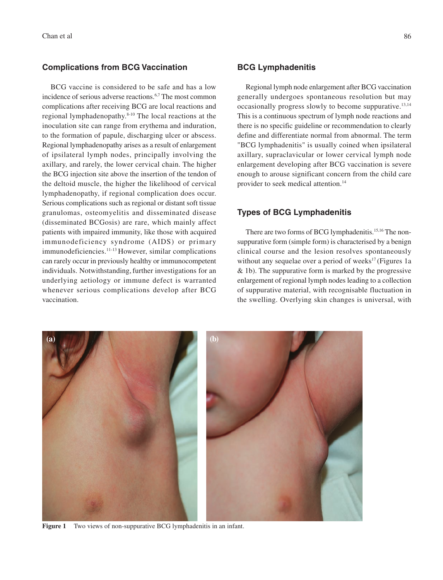## **Complications from BCG Vaccination**

BCG vaccine is considered to be safe and has a low incidence of serious adverse reactions.6,7 The most common complications after receiving BCG are local reactions and regional lymphadenopathy.8-10 The local reactions at the inoculation site can range from erythema and induration, to the formation of papule, discharging ulcer or abscess. Regional lymphadenopathy arises as a result of enlargement of ipsilateral lymph nodes, principally involving the axillary, and rarely, the lower cervical chain. The higher the BCG injection site above the insertion of the tendon of the deltoid muscle, the higher the likelihood of cervical lymphadenopathy, if regional complication does occur. Serious complications such as regional or distant soft tissue granulomas, osteomyelitis and disseminated disease (disseminated BCGosis) are rare, which mainly affect patients with impaired immunity, like those with acquired immunodeficiency syndrome (AIDS) or primary immunodeficiencies.11-13 However, similar complications can rarely occur in previously healthy or immunocompetent individuals. Notwithstanding, further investigations for an underlying aetiology or immune defect is warranted whenever serious complications develop after BCG vaccination.

## **BCG Lymphadenitis**

Regional lymph node enlargement after BCG vaccination generally undergoes spontaneous resolution but may occasionally progress slowly to become suppurative.13,14 This is a continuous spectrum of lymph node reactions and there is no specific guideline or recommendation to clearly define and differentiate normal from abnormal. The term "BCG lymphadenitis" is usually coined when ipsilateral axillary, supraclavicular or lower cervical lymph node enlargement developing after BCG vaccination is severe enough to arouse significant concern from the child care provider to seek medical attention.14

# **Types of BCG Lymphadenitis**

There are two forms of BCG lymphadenitis.<sup>15,16</sup> The nonsuppurative form (simple form) is characterised by a benign clinical course and the lesion resolves spontaneously without any sequelae over a period of weeks<sup>17</sup> (Figures 1a & 1b). The suppurative form is marked by the progressive enlargement of regional lymph nodes leading to a collection of suppurative material, with recognisable fluctuation in the swelling. Overlying skin changes is universal, with



**Figure 1** Two views of non-suppurative BCG lymphadenitis in an infant.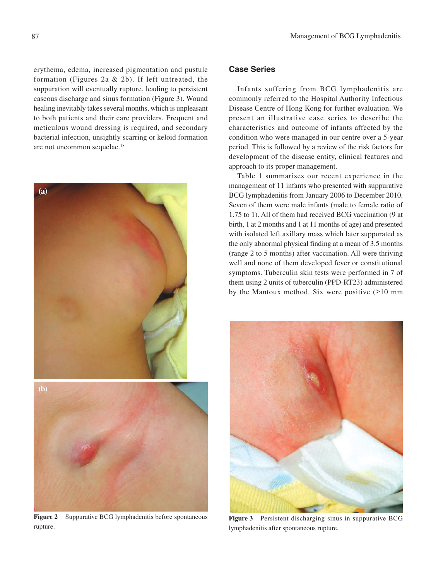erythema, edema, increased pigmentation and pustule formation (Figures 2a & 2b). If left untreated, the suppuration will eventually rupture, leading to persistent caseous discharge and sinus formation (Figure 3). Wound healing inevitably takes several months, which is unpleasant to both patients and their care providers. Frequent and meticulous wound dressing is required, and secondary bacterial infection, unsightly scarring or keloid formation are not uncommon sequelae.18



**Figure 2** Suppurative BCG lymphadenitis before spontaneous rupture.

# **Case Series**

Infants suffering from BCG lymphadenitis are commonly referred to the Hospital Authority Infectious Disease Centre of Hong Kong for further evaluation. We present an illustrative case series to describe the characteristics and outcome of infants affected by the condition who were managed in our centre over a 5-year period. This is followed by a review of the risk factors for development of the disease entity, clinical features and approach to its proper management.

Table 1 summarises our recent experience in the management of 11 infants who presented with suppurative BCG lymphadenitis from January 2006 to December 2010. Seven of them were male infants (male to female ratio of 1.75 to 1). All of them had received BCG vaccination (9 at birth, 1 at 2 months and 1 at 11 months of age) and presented with isolated left axillary mass which later suppurated as the only abnormal physical finding at a mean of 3.5 months (range 2 to 5 months) after vaccination. All were thriving well and none of them developed fever or constitutional symptoms. Tuberculin skin tests were performed in 7 of them using 2 units of tuberculin (PPD-RT23) administered by the Mantoux method. Six were positive  $(≥10$  mm



**Figure 3** Persistent discharging sinus in suppurative BCG lymphadenitis after spontaneous rupture.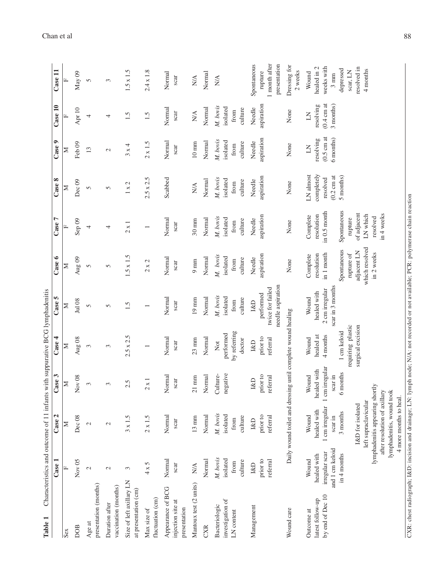| Characteristics and outcome of 11 infants with suppurative BCG lymphadenitis                                                                                                                | $\csc 1$                                                                   | Case 2                                                                                                                                                                                                                              | Case 3                                                      | Case 4                                                                                  | Case 5                                                               | Case 6                                                                                                           | Ļ<br>Case                                                                                                             | Case 8                                                                   | Case 9                                                           | Case 10                                                  | Case 11                                                                                                  |
|---------------------------------------------------------------------------------------------------------------------------------------------------------------------------------------------|----------------------------------------------------------------------------|-------------------------------------------------------------------------------------------------------------------------------------------------------------------------------------------------------------------------------------|-------------------------------------------------------------|-----------------------------------------------------------------------------------------|----------------------------------------------------------------------|------------------------------------------------------------------------------------------------------------------|-----------------------------------------------------------------------------------------------------------------------|--------------------------------------------------------------------------|------------------------------------------------------------------|----------------------------------------------------------|----------------------------------------------------------------------------------------------------------|
|                                                                                                                                                                                             |                                                                            |                                                                                                                                                                                                                                     |                                                             |                                                                                         |                                                                      |                                                                                                                  |                                                                                                                       |                                                                          |                                                                  |                                                          |                                                                                                          |
| Sex                                                                                                                                                                                         | $\boxed{\mathbf{L}}$                                                       | Σ                                                                                                                                                                                                                                   | Z                                                           | ≍                                                                                       | ≍                                                                    | ≍                                                                                                                | щ                                                                                                                     | ≍                                                                        | ⋝                                                                |                                                          |                                                                                                          |
| DOB                                                                                                                                                                                         | Nov $05$                                                                   | Dec <sub>08</sub>                                                                                                                                                                                                                   | Nov 08                                                      | Aug $08$                                                                                | Jul 08                                                               | Aug $09$                                                                                                         | Sep <sub>09</sub>                                                                                                     | Dec <sub>09</sub>                                                        | Feb <sub>09</sub>                                                | Apr $10$                                                 | May 09                                                                                                   |
| presentation (months)<br>Age at                                                                                                                                                             | $\mathcal{L}$                                                              | $\mathcal{L}$                                                                                                                                                                                                                       | 3                                                           | 3                                                                                       | 5                                                                    | 5                                                                                                                | 4                                                                                                                     | 5                                                                        | $\overline{13}$                                                  | 4                                                        | 5                                                                                                        |
| vaccination (months)<br>Duration after                                                                                                                                                      | $\mathcal{L}$                                                              | $\mathcal{L}$                                                                                                                                                                                                                       | 3                                                           | 3                                                                                       | 5                                                                    | 5                                                                                                                | 4                                                                                                                     | 5                                                                        | $\mathcal{L}$                                                    | 4                                                        | 3                                                                                                        |
| Size of left axillary LN<br>at presentation (cm)                                                                                                                                            | $\epsilon$                                                                 | $3 \times 1.5$                                                                                                                                                                                                                      | 2.5                                                         | $2.5 \times 2.5$                                                                        | 1.5                                                                  | $1.5 \times 1.5$                                                                                                 | $2 \times 1$                                                                                                          | $1 \times 2$                                                             | $3 \times 4$                                                     | 1.5                                                      | $1.5 \times 1.5$                                                                                         |
| fluctuation (cm)<br>Max size of                                                                                                                                                             | $4 \times 5$                                                               | $2 \times 1.5$                                                                                                                                                                                                                      | $2 \times 1$                                                |                                                                                         |                                                                      | $2 \times 2$                                                                                                     | $\overline{ }$                                                                                                        | $2.5 \times 2.5$                                                         | $2 \times 1.5$                                                   | 1.5                                                      | $2.4 \times 1.8$                                                                                         |
| Appearance of BCG<br>injection site at<br>presentation                                                                                                                                      | Normal<br>scar                                                             | Normal<br>scar                                                                                                                                                                                                                      | Normal<br>scar                                              | Normal<br>scar                                                                          | Normal<br>scar                                                       | Normal<br>scar                                                                                                   | Normal<br>scar                                                                                                        | Scabbed                                                                  | Normal<br>scar                                                   | Normal<br>scar                                           | Normal<br>scar                                                                                           |
| Mantoux test (2 units)                                                                                                                                                                      | $\mathbf{N}\mathbf{A}$                                                     | $13 \text{ mm}$                                                                                                                                                                                                                     | $21 \text{ mm}$                                             | $23$ mm                                                                                 | $19 \text{ mm}$                                                      | $9 \text{ mm}$                                                                                                   | $30 \text{ mm}$                                                                                                       | $N\!A$                                                                   | $10~\mathrm{mm}$                                                 | $N\!A$                                                   | $N\!A$                                                                                                   |
| CXR                                                                                                                                                                                         | Normal                                                                     | Normal                                                                                                                                                                                                                              | Normal                                                      | Normal                                                                                  | Normal                                                               | Normal                                                                                                           | Normal                                                                                                                | Normal                                                                   | Normal                                                           | Normal                                                   | Normal                                                                                                   |
| investigation of<br>Bacteriologic<br>LN content                                                                                                                                             | M. bovis<br>isolated<br>culture<br>from                                    | M. bovis<br>isolated<br>culture<br>from                                                                                                                                                                                             | negative<br>Culture-                                        | by referring<br>performed<br>doctor<br>Not                                              | M. bovis<br>isolated<br>culture<br>from                              | M. bovis<br>isolated<br>culture<br>from                                                                          | M. bovis<br>isolated<br>culture<br>from                                                                               | M. bovis<br>isolated<br>culture<br>from                                  | M. bovis<br>isolated<br>culture<br>from                          | M. bovis<br>isolated<br>culture<br>from                  | $\mathbb{N}\mathbb{A}$                                                                                   |
| Management                                                                                                                                                                                  | prior to<br>referral<br>$1 \& D$                                           | prior to<br>referral<br><b>I&amp;D</b>                                                                                                                                                                                              | prior to<br>referral<br><b>I&amp;D</b>                      | prior to<br>referral<br><b>I&amp;D</b>                                                  | needle aspiration<br>twice for failed<br>performed<br><b>I&amp;D</b> | aspiration<br>Needle                                                                                             | aspiration<br>Needle                                                                                                  | aspiration<br>Needle                                                     | aspiration<br>Needle                                             | aspiration<br>Needle                                     | Spontaneous<br>1 month after<br>presentation<br>rupture                                                  |
| Wound care                                                                                                                                                                                  |                                                                            | Daily wound toilet and dressing until complete wound healing                                                                                                                                                                        |                                                             |                                                                                         |                                                                      | None                                                                                                             | None                                                                                                                  | None                                                                     | None                                                             | None                                                     | Dressing for<br>2 weeks                                                                                  |
| CXR: chest radiograph; 1&D: incision and drainage; LN: lymph node; N/A: not recorded or not available; PCR: polymerase chain reaction<br>by end of Dec 10<br>latest follow-up<br>Outcome at | and 1 cm keloid<br>irregular scar<br>$in 4$ months<br>healed with<br>Wound | lymphadenitis appearing shortly<br>lymphadenitis, wound took<br>after resolution of axillary<br>4 more months to heal.<br>left supraclavicular<br>I&D for isolated<br>1 cm irregular<br>healed with<br>3 months<br>Wound<br>scar in | cm irregular<br>healed with<br>6 months<br>Wound<br>scar in | requiring plastic<br>surgical excision<br>1 cm keloid<br>healed at<br>4 months<br>Wound | scar in 3 months<br>2 cm irregular<br>healed with<br>Wound           | which resolved<br>Spontaneous<br>adjacent LN<br>in 2 weeks<br>in 1 month<br>rupture of<br>resolution<br>Complete | Spontaneous<br>in 0.5 month<br>of adjacent<br>in 4 weeks<br>resolution<br>LN which<br>Complete<br>resolved<br>rupture | completely<br>LN almost<br>$(0.2 \text{ cm at}$<br>5 months)<br>resolved | $(0.5 \text{ cm at}$<br>6 months)<br>resolving<br>$\overline{A}$ | $(0.4 \text{ cm at}$<br>3 months)<br>resolving<br>$\leq$ | weeks with<br>healed in 2<br>resolved in<br>depressed<br>4 months<br>scar, LN<br>Wound<br>$3 \text{ mm}$ |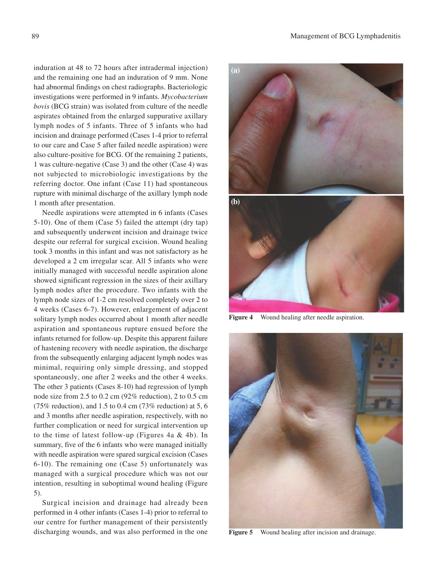induration at 48 to 72 hours after intradermal injection) and the remaining one had an induration of 9 mm. None had abnormal findings on chest radiographs. Bacteriologic investigations were performed in 9 infants. *Mycobacterium bovis* (BCG strain) was isolated from culture of the needle aspirates obtained from the enlarged suppurative axillary lymph nodes of 5 infants. Three of 5 infants who had incision and drainage performed (Cases 1-4 prior to referral to our care and Case 5 after failed needle aspiration) were also culture-positive for BCG. Of the remaining 2 patients, 1 was culture-negative (Case 3) and the other (Case 4) was not subjected to microbiologic investigations by the referring doctor. One infant (Case 11) had spontaneous rupture with minimal discharge of the axillary lymph node 1 month after presentation.

Needle aspirations were attempted in 6 infants (Cases 5-10). One of them (Case 5) failed the attempt (dry tap) and subsequently underwent incision and drainage twice despite our referral for surgical excision. Wound healing took 3 months in this infant and was not satisfactory as he developed a 2 cm irregular scar. All 5 infants who were initially managed with successful needle aspiration alone showed significant regression in the sizes of their axillary lymph nodes after the procedure. Two infants with the lymph node sizes of 1-2 cm resolved completely over 2 to 4 weeks (Cases 6-7). However, enlargement of adjacent solitary lymph nodes occurred about 1 month after needle aspiration and spontaneous rupture ensued before the infants returned for follow-up. Despite this apparent failure of hastening recovery with needle aspiration, the discharge from the subsequently enlarging adjacent lymph nodes was minimal, requiring only simple dressing, and stopped spontaneously, one after 2 weeks and the other 4 weeks. The other 3 patients (Cases 8-10) had regression of lymph node size from 2.5 to 0.2 cm (92% reduction), 2 to 0.5 cm (75% reduction), and 1.5 to 0.4 cm (73% reduction) at 5, 6 and 3 months after needle aspiration, respectively, with no further complication or need for surgical intervention up to the time of latest follow-up (Figures 4a  $&$  4b). In summary, five of the 6 infants who were managed initially with needle aspiration were spared surgical excision (Cases 6-10). The remaining one (Case 5) unfortunately was managed with a surgical procedure which was not our intention, resulting in suboptimal wound healing (Figure 5).

Surgical incision and drainage had already been performed in 4 other infants (Cases 1-4) prior to referral to our centre for further management of their persistently discharging wounds, and was also performed in the one





**Figure 4** Wound healing after needle aspiration.



**Figure 5** Wound healing after incision and drainage.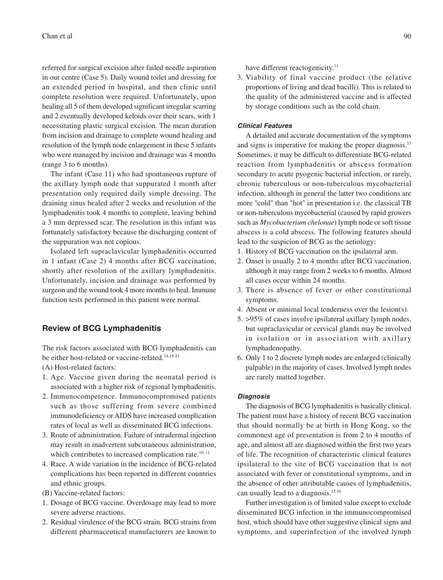referred for surgical excision after failed needle aspiration in our centre (Case 5). Daily wound toilet and dressing for an extended period in hospital, and then clinic until complete resolution were required. Unfortunately, upon healing all 5 of them developed significant irregular scarring and 2 eventually developed keloids over their scars, with 1 necessitating plastic surgical excision. The mean duration from incision and drainage to complete wound healing and resolution of the lymph node enlargement in these 5 infants who were managed by incision and drainage was 4 months (range 3 to 6 months).

The infant (Case 11) who had spontaneous rupture of the axillary lymph node that suppurated 1 month after presentation only required daily simple dressing. The draining sinus healed after 2 weeks and resolution of the lymphadenitis took 4 months to complete, leaving behind a 3 mm depressed scar. The resolution in this infant was fortunately satisfactory because the discharging content of the suppuration was not copious.

Isolated left supraclavicular lymphadenitis occurred in 1 infant (Case 2) 4 months after BCG vaccination, shortly after resolution of the axillary lymphadenitis. Unfortunately, incision and drainage was performed by surgeon and the wound took 4 more months to heal. Immune function tests performed in this patient were normal.

## **Review of BCG Lymphadenitis**

The risk factors associated with BCG lymphadenitis can be either host-related or vaccine-related.<sup>14,19-21</sup>

(A) Host-related factors:

- 1. Age. Vaccine given during the neonatal period is associated with a higher risk of regional lymphadenitis.
- 2. Immunocompetence. Immunocompromised patients such as those suffering from severe combined immunodeficiency or AIDS have increased complication rates of local as well as disseminated BCG infections.
- 3. Route of administration. Failure of intradermal injection may result in inadvertent subcutaneous administration, which contributes to increased complication rate.<sup>10, 11</sup>
- 4. Race. A wide variation in the incidence of BCG-related complications has been reported in different countries and ethnic groups.
- (B) Vaccine-related factors:
- 1. Dosage of BCG vaccine. Overdosage may lead to more severe adverse reactions.
- 2. Residual virulence of the BCG strain. BCG strains from different pharmaceutical manufacturers are known to

have different reactogenicity.<sup>11</sup>

3. Viability of final vaccine product (the relative proportions of living and dead bacilli). This is related to the quality of the administered vaccine and is affected by storage conditions such as the cold chain.

## **Clinical Features**

A detailed and accurate documentation of the symptoms and signs is imperative for making the proper diagnosis.15 Sometimes, it may be difficult to differentiate BCG-related reaction from lymphadenitis or abscess formation secondary to acute pyogenic bacterial infection, or rarely, chronic tuberculous or non-tuberculous mycobacterial infection, although in general the latter two conditions are more "cold" than "hot" in presentation i.e. the classical TB or non-tuberculous mycobacterial (caused by rapid growers such as *Mycobacterium chelonae*) lymph node or soft tissue abscess is a cold abscess. The following features should lead to the suspicion of BCG as the aetiology:

- 1. History of BCG vaccination on the ipsilateral arm.
- 2. Onset is usually 2 to 4 months after BCG vaccination, although it may range from 2 weeks to 6 months. Almost all cases occur within 24 months.
- 3. There is absence of fever or other constitutional symptoms.
- 4. Absent or minimal local tenderness over the lesion(s).
- 5. >95% of cases involve ipsilateral axillary lymph nodes, but supraclavicular or cervical glands may be involved in isolation or in association with axillary lymphadenopathy.
- 6. Only 1 to 2 discrete lymph nodes are enlarged (clinically palpable) in the majority of cases. Involved lymph nodes are rarely matted together.

#### **Diagnosis**

The diagnosis of BCG lymphadenitis is basically clinical. The patient must have a history of recent BCG vaccination that should normally be at birth in Hong Kong, so the commonest age of presentation is from 2 to 4 months of age, and almost all are diagnosed within the first two years of life. The recognition of characteristic clinical features ipsilateral to the site of BCG vaccination that is not associated with fever or constitutional symptoms, and in the absence of other attributable causes of lymphadenitis, can usually lead to a diagnosis.<sup>15,16</sup>

Further investigation is of limited value except to exclude disseminated BCG infection in the immunocompromised host, which should have other suggestive clinical signs and symptoms, and superinfection of the involved lymph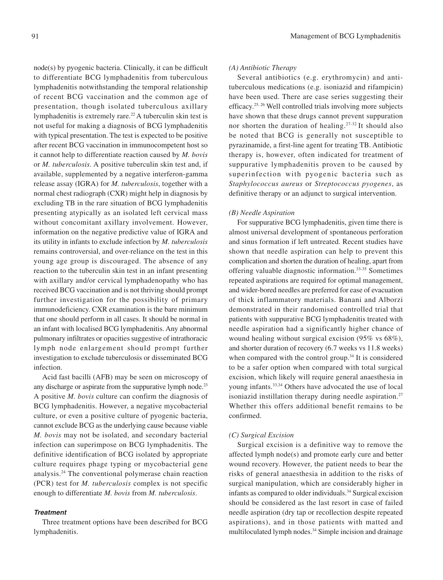node(s) by pyogenic bacteria. Clinically, it can be difficult to differentiate BCG lymphadenitis from tuberculous lymphadenitis notwithstanding the temporal relationship of recent BCG vaccination and the common age of presentation, though isolated tuberculous axillary lymphadenitis is extremely rare.<sup>22</sup> A tuberculin skin test is not useful for making a diagnosis of BCG lymphadenitis with typical presentation. The test is expected to be positive after recent BCG vaccination in immunocompetent host so it cannot help to differentiate reaction caused by *M. bovis* or *M. tuberculosis*. A positive tuberculin skin test and, if available, supplemented by a negative interferon-gamma release assay (IGRA) for *M. tuberculosis*, together with a normal chest radiograph (CXR) might help in diagnosis by excluding TB in the rare situation of BCG lymphadenitis presenting atypically as an isolated left cervical mass without concomitant axillary involvement. However, information on the negative predictive value of IGRA and its utility in infants to exclude infection by *M. tuberculosis* remains controversial, and over-reliance on the test in this young age group is discouraged. The absence of any reaction to the tuberculin skin test in an infant presenting with axillary and/or cervical lymphadenopathy who has received BCG vaccination and is not thriving should prompt further investigation for the possibility of primary immunodeficiency. CXR examination is the bare minimum that one should perform in all cases. It should be normal in an infant with localised BCG lymphadenitis. Any abnormal pulmonary infiltrates or opacities suggestive of intrathoracic lymph node enlargement should prompt further investigation to exclude tuberculosis or disseminated BCG infection.

Acid fast bacilli (AFB) may be seen on microscopy of any discharge or aspirate from the suppurative lymph node.<sup>23</sup> A positive *M. bovis* culture can confirm the diagnosis of BCG lymphadenitis. However, a negative mycobacterial culture, or even a positive culture of pyogenic bacteria, cannot exclude BCG as the underlying cause because viable *M. bovis* may not be isolated, and secondary bacterial infection can superimpose on BCG lymphadenitis. The definitive identification of BCG isolated by appropriate culture requires phage typing or mycobacterial gene analysis.24 The conventional polymerase chain reaction (PCR) test for *M. tuberculosis* complex is not specific enough to differentiate *M. bovis* from *M. tuberculosis*.

## **Treatment**

Three treatment options have been described for BCG lymphadenitis.

### *(A) Antibiotic Therapy*

Several antibiotics (e.g. erythromycin) and antituberculous medications (e.g. isoniazid and rifampicin) have been used. There are case series suggesting their efficacy.25, 26 Well controlled trials involving more subjects have shown that these drugs cannot prevent suppuration nor shorten the duration of healing.27-32 It should also be noted that BCG is generally not susceptible to pyrazinamide, a first-line agent for treating TB. Antibiotic therapy is, however, often indicated for treatment of suppurative lymphadenitis proven to be caused by superinfection with pyogenic bacteria such as *Staphylococcus aureus* or *Streptococcus pyogenes*, as definitive therapy or an adjunct to surgical intervention.

#### *(B) Needle Aspiration*

For suppurative BCG lymphadenitis, given time there is almost universal development of spontaneous perforation and sinus formation if left untreated. Recent studies have shown that needle aspiration can help to prevent this complication and shorten the duration of healing, apart from offering valuable diagnostic information.33-35 Sometimes repeated aspirations are required for optimal management, and wider-bored needles are preferred for ease of evacuation of thick inflammatory materials. Banani and Alborzi demonstrated in their randomised controlled trial that patients with suppurative BCG lymphadenitis treated with needle aspiration had a significantly higher chance of wound healing without surgical excision (95% vs 68%), and shorter duration of recovery (6.7 weeks vs 11.8 weeks) when compared with the control group.<sup>34</sup> It is considered to be a safer option when compared with total surgical excision, which likely will require general anaesthesia in young infants.33,34 Others have advocated the use of local isoniazid instillation therapy during needle aspiration.<sup>27</sup> Whether this offers additional benefit remains to be confirmed.

#### *(C) Surgical Excision*

Surgical excision is a definitive way to remove the affected lymph node(s) and promote early cure and better wound recovery. However, the patient needs to bear the risks of general anaesthesia in addition to the risks of surgical manipulation, which are considerably higher in infants as compared to older individuals.34 Surgical excision should be considered as the last resort in case of failed needle aspiration (dry tap or recollection despite repeated aspirations), and in those patients with matted and multiloculated lymph nodes.34 Simple incision and drainage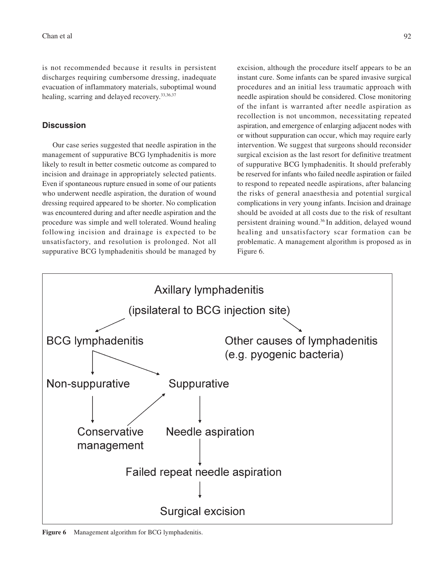is not recommended because it results in persistent discharges requiring cumbersome dressing, inadequate evacuation of inflammatory materials, suboptimal wound healing, scarring and delayed recovery.<sup>33,36,37</sup>

## **Discussion**

 Our case series suggested that needle aspiration in the management of suppurative BCG lymphadenitis is more likely to result in better cosmetic outcome as compared to incision and drainage in appropriately selected patients. Even if spontaneous rupture ensued in some of our patients who underwent needle aspiration, the duration of wound dressing required appeared to be shorter. No complication was encountered during and after needle aspiration and the procedure was simple and well tolerated. Wound healing following incision and drainage is expected to be unsatisfactory, and resolution is prolonged. Not all suppurative BCG lymphadenitis should be managed by excision, although the procedure itself appears to be an instant cure. Some infants can be spared invasive surgical procedures and an initial less traumatic approach with needle aspiration should be considered. Close monitoring of the infant is warranted after needle aspiration as recollection is not uncommon, necessitating repeated aspiration, and emergence of enlarging adjacent nodes with or without suppuration can occur, which may require early intervention. We suggest that surgeons should reconsider surgical excision as the last resort for definitive treatment of suppurative BCG lymphadenitis. It should preferably be reserved for infants who failed needle aspiration or failed to respond to repeated needle aspirations, after balancing the risks of general anaesthesia and potential surgical complications in very young infants. Incision and drainage should be avoided at all costs due to the risk of resultant persistent draining wound.36 In addition, delayed wound healing and unsatisfactory scar formation can be problematic. A management algorithm is proposed as in Figure 6.



**Figure 6** Management algorithm for BCG lymphadenitis.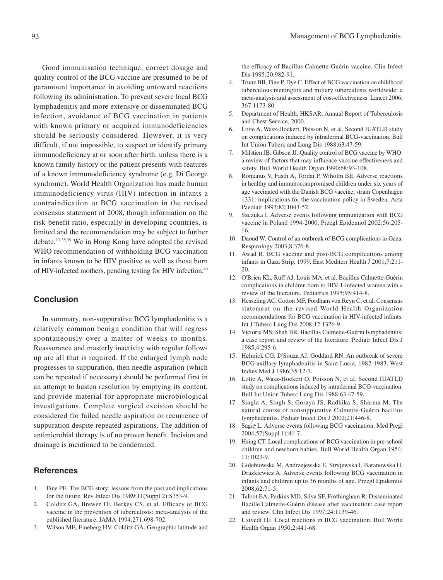Good immunisation technique, correct dosage and quality control of the BCG vaccine are presumed to be of paramount importance in avoiding untoward reactions following its administration. To prevent severe local BCG lymphadenitis and more extensive or disseminated BCG infection, avoidance of BCG vaccination in patients with known primary or acquired immunodeficiencies should be seriously considered. However, it is very difficult, if not impossible, to suspect or identify primary immunodeficiency at or soon after birth, unless there is a known family history or the patient presents with features of a known immunodeficiency syndrome (e.g. Di George syndrome). World Health Organization has made human immunodeficiency virus (HIV) infection in infants a contraindication to BCG vaccination in the revised consensus statement of 2008, though information on the risk-benefit ratio, especially in developing countries, is limited and the recommendation may be subject to further debate.13,38,39 We in Hong Kong have adopted the revised WHO recommendation of withholding BCG vaccination in infants known to be HIV positive as well as those born of HIV-infected mothers, pending testing for HIV infection.40

## **Conclusion**

In summary, non-suppurative BCG lymphadenitis is a relatively common benign condition that will regress spontaneously over a matter of weeks to months. Reassurance and masterly inactivity with regular followup are all that is required. If the enlarged lymph node progresses to suppuration, then needle aspiration (which can be repeated if necessary) should be performed first in an attempt to hasten resolution by emptying its content, and provide material for appropriate microbiological investigations. Complete surgical excision should be considered for failed needle aspiration or recurrence of suppuration despite repeated aspirations. The addition of antimicrobial therapy is of no proven benefit. Incision and drainage is mentioned to be condemned.

# **References**

- 1. Fine PE. The BCG story: lessons from the past and implications for the future. Rev Infect Dis 1989;11(Suppl 2):S353-9.
- 2. Colditz GA, Brewer TF, Berkey CS, et al. Efficacy of BCG vaccine in the prevention of tuberculosis: meta-analysis of the published literature. JAMA 1994;271:698-702.
- 3. Wilson ME, Fineberg HV, Colditz GA. Geographic latitude and

the efficacy of Bacillus Calmette-Guérin vaccine. Clin Infect Dis 1995;20:982-91.

- 4. Trunz BB, Fine P, Dye C. Effect of BCG vaccination on childhood tuberculous meningitis and miliary tuberculosis worldwide: a meta-analysis and assessment of cost-effectiveness. Lancet 2006; 367:1173-80.
- 5. Department of Health, HKSAR. Annual Report of Tuberculosis and Chest Service, 2000.
- 6. Lotte A, Wasz-Hockert, Poisson N, et al. Second IUATLD study on complications induced by intradermal BCG-vaccination. Bull Int Union Tuberc and Lung Dis 1988;63:47-59.
- 7. Milstien JB, Gibson JJ. Quality control of BCG vaccine by WHO: a review of factors that may influence vaccine effectiveness and safety. Bull World Health Organ 1990;68:93-108.
- 8. Romanus V, Fasth A, Tordai P, Wiholm BE. Adverse reactions in healthy and immunocompromised children under six years of age vaccinated with the Danish BCG vaccine, strain Copenhagen 1331: implications for the vaccination policy in Sweden. Acta Paediatr 1993;82:1043-52.
- 9. Szczuka I. Adverse events following immunization with BCG vaccine in Poland 1994-2000. Przegl Epidemiol 2002;56:205- 16.
- 10. Daoud W. Control of an outbreak of BCG complications in Gaza. Respirology 2003;8:376-8.
- 11. Awad R. BCG vaccine and post-BCG complications among infants in Gaza Strip, 1999. East Mediterr Health J 2001;7:211- 20.
- 12. O'Brien KL, Ruff AJ, Louis MA, et al. Bacillus Calmette-Guérin complications in children born to HIV-1-infected women with a review of the literature. Pediatrics 1995;95:414-8.
- 13. Hesseling AC, Cotton MF, Fordham von Reyn C, et al. Consensus statement on the revised World Health Organization recommendations for BCG vaccination in HIV-infected infants. Int J Tuberc Lung Dis 2008;12:1376-9.
- 14. Victoria MS, Shah BR. Bacillus Calmette-Guérin lymphadenitis: a case report and review of the literature. Pediatr Infect Dis J 1985;4:295-6.
- 15. Helmick CG, D'Souza AJ, Goddard RN. An outbreak of severe BCG axillary lymphadenitis in Saint Lucia, 1982-1983. West Indies Med J 1986;35:12-7.
- 16. Lotte A, Wasz-Hockert O, Poisson N, et al. Second IUATLD study on complications induced by intradermal BCG-vaccination. Bull Int Union Tuberc Lung Dis 1988;63:47-59.
- 17. Singla A, Singh S, Goraya JS, Radhika S, Sharma M. The natural course of nonsuppurative Calmette-Guérin bacillus lymphadenitis. Pediatr Infect Dis J 2002;21:446-8.
- 18. Sagić L. Adverse events following BCG vaccination. Med Pregl 2004;57(Suppl 1):41-7.
- 19. Hsing CT. Local complications of BCG vaccination in pre-school children and newborn babies. Bull World Health Organ 1954; 11:1023-9.
- 20. Gołebiowska M, Andrzejewska E, Stryjewska I, Baranowska H, Drazkiewicz A. Adverse events following BCG vaccination in infants and children up to 36 months of age. Przegl Epidemiol 2008;62:71-5.
- 21. Talbot EA, Perkins MD, Silva SF, Frothingham R. Disseminated Bacille Calmette-Guérin disease after vaccination: case report and review. Clin Infect Dis 1997;24:1139-46.
- 22. Ustvedt HJ. Local reactions in BCG vaccination. Bull World Health Organ 1950;2:441-68.